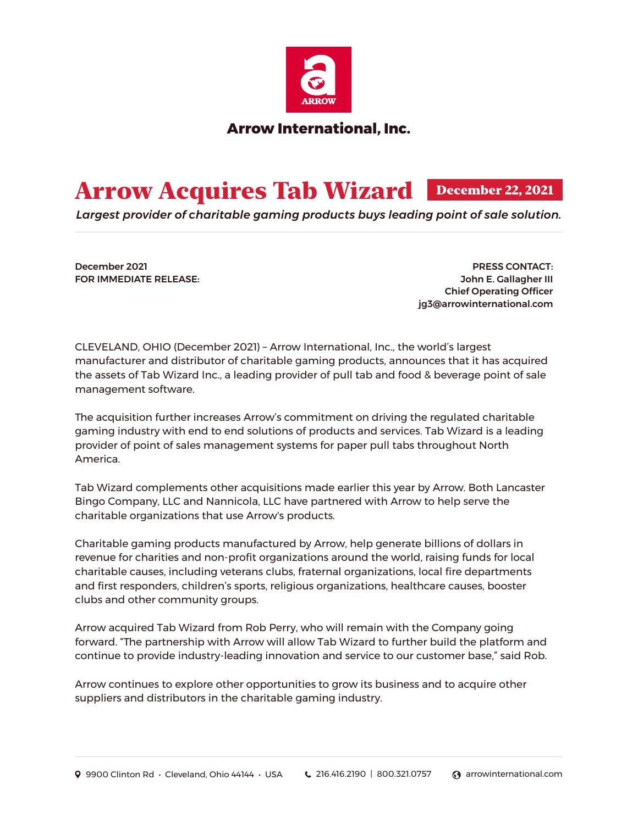

## Arrow Acquires Tab Wizard December 22, 2021

*Largest provider of charitable gaming products buys leading point of sale solution.*

December 2021 FOR IMMEDIATE RELEASE:

PRESS CONTACT: John E. Gallagher III Chief Operating Officer jg3@arrowinternational.com

CLEVELAND, OHIO (December 2021) – Arrow International, Inc., the world's largest manufacturer and distributor of charitable gaming products, announces that it has acquired the assets of Tab Wizard Inc., a leading provider of pull tab and food & beverage point of sale management software.

The acquisition further increases Arrow's commitment on driving the regulated charitable gaming industry with end to end solutions of products and services. Tab Wizard is a leading provider of point of sales management systems for paper pull tabs throughout North America.

Tab Wizard complements other acquisitions made earlier this year by Arrow. Both Lancaster Bingo Company, LLC and Nannicola, LLC have partnered with Arrow to help serve the charitable organizations that use Arrow's products.

Charitable gaming products manufactured by Arrow, help generate billions of dollars in revenue for charities and non-profit organizations around the world, raising funds for local charitable causes, including veterans clubs, fraternal organizations, local fire departments and first responders, children's sports, religious organizations, healthcare causes, booster clubs and other community groups.

Arrow acquired Tab Wizard from Rob Perry, who will remain with the Company going forward. "The partnership with Arrow will allow Tab Wizard to further build the platform and continue to provide industry-leading innovation and service to our customer base," said Rob.

Arrow continues to explore other opportunities to grow its business and to acquire other suppliers and distributors in the charitable gaming industry.